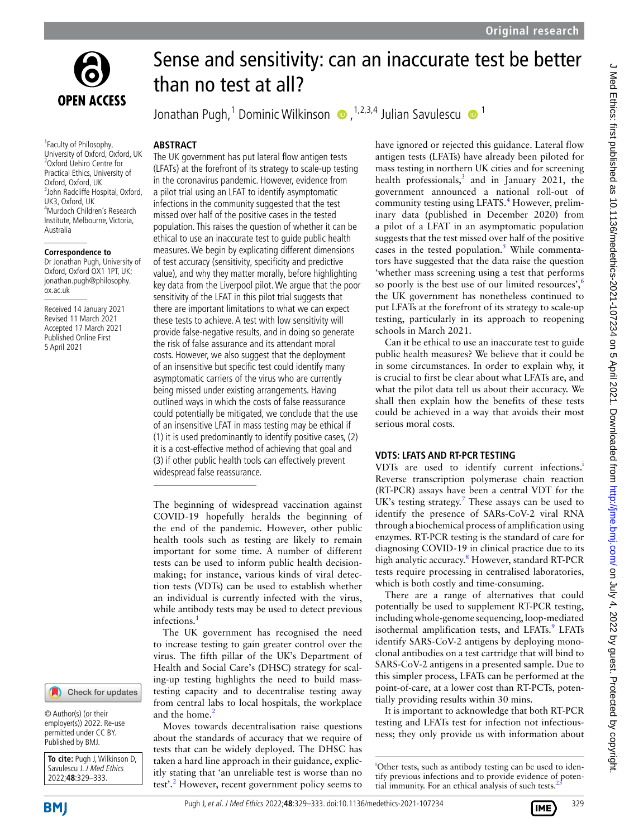



<sup>1</sup> Faculty of Philosophy, University of Oxford, Oxford, UK 2 Oxford Uehiro Centre for Practical Ethics, University of Oxford, Oxford, UK 3 John Radcliffe Hospital, Oxford, UK3, Oxford, UK 4 Murdoch Children's Research Institute, Melbourne, Victoria, Australia

#### **Correspondence to**

Dr Jonathan Pugh, University of Oxford, Oxford OX1 1PT, UK; jonathan.pugh@philosophy. ox.ac.uk

Received 14 January 2021 Revised 11 March 2021 Accepted 17 March 2021 Published Online First 5 April 2021



© Author(s) (or their employer(s)) 2022. Re-use permitted under CC BY. Published by BMJ.

**To cite:** Pugh J, Wilkinson D, Savulescu J. J Med Ethics 2022;**48**:329–333.

# Sense and sensitivity: can an inaccurate test be better than no test at all?

Jonathan Pugh,<sup>1</sup> Dominic Wilkinson (D, <sup>1,2,3,4</sup> Julian Savulescu (D, <sup>1</sup>

### **Abstract**

The UK government has put lateral flow antigen tests (LFATs) at the forefront of its strategy to scale-up testing in the coronavirus pandemic. However, evidence from a pilot trial using an LFAT to identify asymptomatic infections in the community suggested that the test missed over half of the positive cases in the tested population. This raises the question of whether it can be ethical to use an inaccurate test to guide public health measures. We begin by explicating different dimensions of test accuracy (sensitivity, specificity and predictive value), and why they matter morally, before highlighting key data from the Liverpool pilot. We argue that the poor sensitivity of the LFAT in this pilot trial suggests that there are important limitations to what we can expect these tests to achieve. A test with low sensitivity will provide false-negative results, and in doing so generate the risk of false assurance and its attendant moral costs. However, we also suggest that the deployment of an insensitive but specific test could identify many asymptomatic carriers of the virus who are currently being missed under existing arrangements. Having outlined ways in which the costs of false reassurance could potentially be mitigated, we conclude that the use of an insensitive LFAT in mass testing may be ethical if (1) it is used predominantly to identify positive cases, (2) it is a cost-effective method of achieving that goal and (3) if other public health tools can effectively prevent widespread false reassurance.

The beginning of widespread vaccination against COVID-19 hopefully heralds the beginning of the end of the pandemic. However, other public health tools such as testing are likely to remain important for some time. A number of different tests can be used to inform public health decisionmaking; for instance, various kinds of viral detection tests (VDTs) can be used to establish whether an individual is currently infected with the virus, while antibody tests may be used to detect previous infections.<sup>1</sup>

The UK government has recognised the need to increase testing to gain greater control over the virus. The fifth pillar of the UK's Department of Health and Social Care's (DHSC) strategy for scaling-up testing highlights the need to build masstesting capacity and to decentralise testing away from central labs to local hospitals, the workplace and the home.<sup>2</sup>

Moves towards decentralisation raise questions about the standards of accuracy that we require of tests that can be widely deployed. The DHSC has taken a hard line approach in their guidance, explicitly stating that 'an unreliable test is worse than no test'.<sup>2</sup> However, recent government policy seems to have ignored or rejected this guidance. Lateral flow antigen tests (LFATs) have already been piloted for mass testing in northern UK cities and for screening health professionals, $3$  and in January 2021, the government announced a national roll-out of community testing using LFATS.<sup>4</sup> However, preliminary data (published in December 2020) from a pilot of a LFAT in an asymptomatic population suggests that the test missed over half of the positive cases in the tested population.<sup>5</sup> While commentators have suggested that the data raise the question 'whether mass screening using a test that performs so poorly is the best use of our limited resources', $6$ the UK government has nonetheless continued to put LFATs at the forefront of its strategy to scale-up testing, particularly in its approach to reopening schools in March 2021.

Can it be ethical to use an inaccurate test to guide public health measures? We believe that it could be in some circumstances. In order to explain why, it is crucial to first be clear about what LFATs are, and what the pilot data tell us about their accuracy. We shall then explain how the benefits of these tests could be achieved in a way that avoids their most serious moral costs.

## **VDTs: LFATs and RT-PCR testing**

VDTs are used to identify current infections.<sup>i</sup> Reverse transcription polymerase chain reaction (RT-PCR) assays have been a central VDT for the UK's testing strategy.<sup>7</sup> These assays can be used to identify the presence of SARs-CoV-2 viral RNA through a biochemical process of amplification using enzymes. RT-PCR testing is the standard of care for diagnosing COVID-19 in clinical practice due to its high analytic accuracy.<sup>8</sup> However, standard RT-PCR tests require processing in centralised laboratories, which is both costly and time-consuming.

There are a range of alternatives that could potentially be used to supplement RT-PCR testing, including whole-genome sequencing, loop-mediated isothermal amplification tests, and LFATs.<sup>9</sup> LFATs identify SARS-CoV-2 antigens by deploying monoclonal antibodies on a test cartridge that will bind to SARS-CoV-2 antigens in a presented sample. Due to this simpler process, LFATs can be performed at the point-of-care, at a lower cost than RT-PCTs, potentially providing results within 30 mins.

It is important to acknowledge that both RT-PCR testing and LFATs test for infection not infectiousness; they only provide us with information about





<sup>&</sup>lt;sup>i</sup>Other tests, such as antibody testing can be used to identify previous infections and to provide evidence of potential immunity. For an ethical analysis of such tests.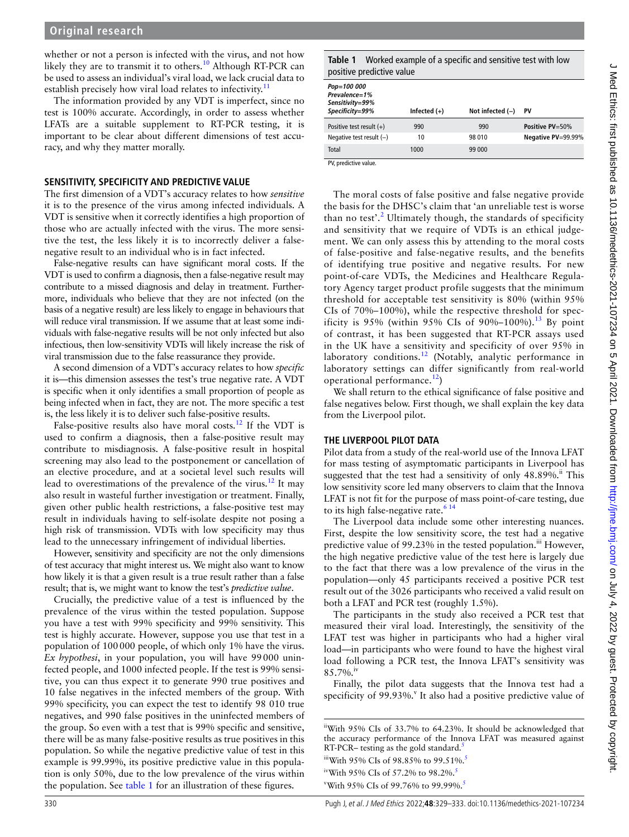whether or not a person is infected with the virus, and not how likely they are to transmit it to others.<sup>10</sup> Although RT-PCR can be used to assess an individual's viral load, we lack crucial data to establish precisely how viral load relates to infectivity.<sup>11</sup>

The information provided by any VDT is imperfect, since no test is 100% accurate. Accordingly, in order to assess whether LFATs are a suitable supplement to RT-PCR testing, it is important to be clear about different dimensions of test accuracy, and why they matter morally.

### **Sensitivity, specificity and predictive value**

The first dimension of a VDT's accuracy relates to how *sensitive* it is to the presence of the virus among infected individuals. A VDT is sensitive when it correctly identifies a high proportion of those who are actually infected with the virus. The more sensitive the test, the less likely it is to incorrectly deliver a falsenegative result to an individual who is in fact infected.

False-negative results can have significant moral costs. If the VDT is used to confirm a diagnosis, then a false-negative result may contribute to a missed diagnosis and delay in treatment. Furthermore, individuals who believe that they are not infected (on the basis of a negative result) are less likely to engage in behaviours that will reduce viral transmission. If we assume that at least some individuals with false-negative results will be not only infected but also infectious, then low-sensitivity VDTs will likely increase the risk of viral transmission due to the false reassurance they provide.

A second dimension of a VDT's accuracy relates to how *specific* it is—this dimension assesses the test's true negative rate. A VDT is specific when it only identifies a small proportion of people as being infected when in fact, they are not. The more specific a test is, the less likely it is to deliver such false-positive results.

False-positive results also have moral costs.<sup>12</sup> If the VDT is used to confirm a diagnosis, then a false-positive result may contribute to misdiagnosis. A false-positive result in hospital screening may also lead to the postponement or cancellation of an elective procedure, and at a societal level such results will lead to overestimations of the prevalence of the virus.<sup>12</sup> It may also result in wasteful further investigation or treatment. Finally, given other public health restrictions, a false-positive test may result in individuals having to self-isolate despite not posing a high risk of transmission. VDTs with low specificity may thus lead to the unnecessary infringement of individual liberties.

However, sensitivity and specificity are not the only dimensions of test accuracy that might interest us. We might also want to know how likely it is that a given result is a true result rather than a false result; that is, we might want to know the test's *predictive value*.

Crucially, the predictive value of a test is influenced by the prevalence of the virus within the tested population. Suppose you have a test with 99% specificity and 99% sensitivity. This test is highly accurate. However, suppose you use that test in a population of 100000 people, of which only 1% have the virus. *Ex hypothesi*, in your population, you will have 99000 uninfected people, and 1000 infected people. If the test is 99% sensitive, you can thus expect it to generate 990 true positives and 10 false negatives in the infected members of the group. With 99% specificity, you can expect the test to identify 98 010 true negatives, and 990 false positives in the uninfected members of the group. So even with a test that is 99% specific and sensitive, there will be as many false-positive results as true positives in this population. So while the negative predictive value of test in this example is 99.99%, its positive predictive value in this population is only 50%, due to the low prevalence of the virus within the population. See table 1 for an illustration of these figures.

**Table 1** Worked example of a specific and sensitive test with low positive predictive value

| Pop=100 000<br>Prevalence=1%<br>Sensitivity=99%<br>Specificity=99% | Infected $(+)$ | Not infected $(-)$ | PV                 |
|--------------------------------------------------------------------|----------------|--------------------|--------------------|
| Positive test result $(+)$                                         | 990            | 990                | Positive PV=50%    |
| Negative test result $(-)$                                         | 10             | 98 010             | Negative PV=99.99% |
| Total                                                              | 1000           | 99 000             |                    |

PV, predictive value.

The moral costs of false positive and false negative provide the basis for the DHSC's claim that 'an unreliable test is worse than no test'.<sup>2</sup> Ultimately though, the standards of specificity and sensitivity that we require of VDTs is an ethical judgement. We can only assess this by attending to the moral costs of false-positive and false-negative results, and the benefits of identifying true positive and negative results. For new point-of-care VDTs, the Medicines and Healthcare Regulatory Agency target product profile suggests that the minimum threshold for acceptable test sensitivity is 80% (within 95% CIs of 70%–100%), while the respective threshold for specificity is 95% (within 95% CIs of 90%–100%).<sup>13</sup> By point of contrast, it has been suggested that RT-PCR assays used in the UK have a sensitivity and specificity of over 95% in laboratory conditions. $12$  (Notably, analytic performance in laboratory settings can differ significantly from real-world operational performance. $^{12}$ )

We shall return to the ethical significance of false positive and false negatives below. First though, we shall explain the key data from the Liverpool pilot.

## **The Liverpool pilot data**

Pilot data from a study of the real-world use of the Innova LFAT for mass testing of asymptomatic participants in Liverpool has suggested that the test had a sensitivity of only 48.89%.<sup>ii</sup> This low sensitivity score led many observers to claim that the Innova LFAT is not fit for the purpose of mass point-of-care testing, due to its high false-negative rate.<sup>614</sup>

The Liverpool data include some other interesting nuances. First, despite the low sensitivity score, the test had a negative predictive value of 99.23% in the tested population.<sup>iii</sup> However, the high negative predictive value of the test here is largely due to the fact that there was a low prevalence of the virus in the population—only 45 participants received a positive PCR test result out of the 3026 participants who received a valid result on both a LFAT and PCR test (roughly 1.5%).

The participants in the study also received a PCR test that measured their viral load. Interestingly, the sensitivity of the LFAT test was higher in participants who had a higher viral load—in participants who were found to have the highest viral load following a PCR test, the Innova LFAT's sensitivity was 85.7%.iv

Finally, the pilot data suggests that the Innova test had a specificity of 99.93%.<sup>v</sup> It also had a positive predictive value of

iiWith 95% CIs of 33.7% to 64.23%. It should be acknowledged that the accuracy performance of the Innova LFAT was measured against RT-PCR– testing as the gold standard. $\frac{5}{5}$ 

iiiWith 95% CIs of 98.85% to 99.51%.<sup>5</sup>

<sup>&</sup>lt;sup>iv</sup>With 95% CIs of 57.2% to 98.2%.<sup>5</sup>

<sup>&</sup>lt;sup>v</sup>With 95% CIs of 99.76% to 99.99%.<sup>5</sup>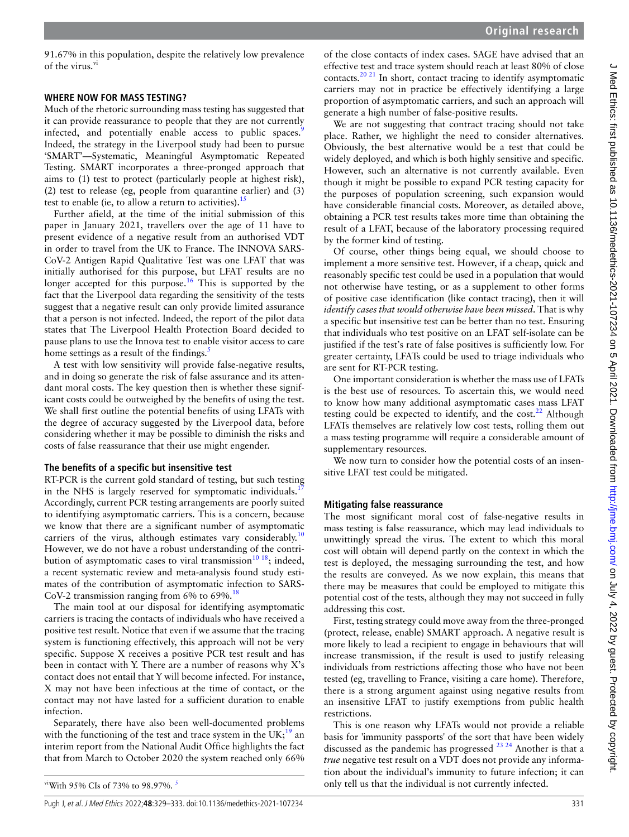91.67% in this population, despite the relatively low prevalence of the virus.<sup>vi</sup>

## **Where now for mass testing?**

Much of the rhetoric surrounding mass testing has suggested that it can provide reassurance to people that they are not currently infected, and potentially enable access to public spaces.<sup>9</sup> Indeed, the strategy in the Liverpool study had been to pursue 'SMART'—Systematic, Meaningful Asymptomatic Repeated Testing. SMART incorporates a three-pronged approach that aims to (1) test to protect (particularly people at highest risk), (2) test to release (eg, people from quarantine earlier) and (3) test to enable (ie, to allow a return to activities).  $15$ 

Further afield, at the time of the initial submission of this paper in January 2021, travellers over the age of 11 have to present evidence of a negative result from an authorised VDT in order to travel from the UK to France. The INNOVA SARS-CoV-2 Antigen Rapid Qualitative Test was one LFAT that was initially authorised for this purpose, but LFAT results are no longer accepted for this purpose.<sup>16</sup> This is supported by the fact that the Liverpool data regarding the sensitivity of the tests suggest that a negative result can only provide limited assurance that a person is not infected. Indeed, the report of the pilot data states that The Liverpool Health Protection Board decided to pause plans to use the Innova test to enable visitor access to care home settings as a result of the findings.<sup>5</sup>

A test with low sensitivity will provide false-negative results, and in doing so generate the risk of false assurance and its attendant moral costs. The key question then is whether these significant costs could be outweighed by the benefits of using the test. We shall first outline the potential benefits of using LFATs with the degree of accuracy suggested by the Liverpool data, before considering whether it may be possible to diminish the risks and costs of false reassurance that their use might engender.

## **The benefits of a specific but insensitive test**

RT-PCR is the current gold standard of testing, but such testing in the NHS is largely reserved for symptomatic individuals.<sup>1</sup> Accordingly, current PCR testing arrangements are poorly suited to identifying asymptomatic carriers. This is a concern, because we know that there are a significant number of asymptomatic carriers of the virus, although estimates vary considerably.<sup>10</sup> However, we do not have a robust understanding of the contribution of asymptomatic cases to viral transmission<sup>10 18</sup>; indeed, a recent systematic review and meta-analysis found study estimates of the contribution of asymptomatic infection to SARS-CoV-2 transmission ranging from 6% to 69%.<sup>18</sup>

The main tool at our disposal for identifying asymptomatic carriers is tracing the contacts of individuals who have received a positive test result. Notice that even if we assume that the tracing system is functioning effectively, this approach will not be very specific. Suppose X receives a positive PCR test result and has been in contact with Y. There are a number of reasons why X's contact does not entail that Y will become infected. For instance, X may not have been infectious at the time of contact, or the contact may not have lasted for a sufficient duration to enable infection.

Separately, there have also been well-documented problems with the functioning of the test and trace system in the  $UK;^{19}$  an interim report from the National Audit Office highlights the fact that from March to October 2020 the system reached only 66%

of the close contacts of index cases. SAGE have advised that an effective test and trace system should reach at least 80% of close contacts.<sup>20 21</sup> In short, contact tracing to identify asymptomatic carriers may not in practice be effectively identifying a large proportion of asymptomatic carriers, and such an approach will generate a high number of false-positive results.

We are not suggesting that contract tracing should not take place. Rather, we highlight the need to consider alternatives. Obviously, the best alternative would be a test that could be widely deployed, and which is both highly sensitive and specific. However, such an alternative is not currently available. Even though it might be possible to expand PCR testing capacity for the purposes of population screening, such expansion would have considerable financial costs. Moreover, as detailed above, obtaining a PCR test results takes more time than obtaining the result of a LFAT, because of the laboratory processing required by the former kind of testing.

Of course, other things being equal, we should choose to implement a more sensitive test. However, if a cheap, quick and reasonably specific test could be used in a population that would not otherwise have testing, or as a supplement to other forms of positive case identification (like contact tracing), then it will *identify cases that would otherwise have been missed*. That is why a specific but insensitive test can be better than no test. Ensuring that individuals who test positive on an LFAT self-isolate can be justified if the test's rate of false positives is sufficiently low. For greater certainty, LFATs could be used to triage individuals who are sent for RT-PCR testing.

One important consideration is whether the mass use of LFATs is the best use of resources. To ascertain this, we would need to know how many additional asymptomatic cases mass LFAT testing could be expected to identify, and the cost. $^{22}$  Although LFATs themselves are relatively low cost tests, rolling them out a mass testing programme will require a considerable amount of supplementary resources.

We now turn to consider how the potential costs of an insensitive LFAT test could be mitigated.

# **Mitigating false reassurance**

The most significant moral cost of false-negative results in mass testing is false reassurance, which may lead individuals to unwittingly spread the virus. The extent to which this moral cost will obtain will depend partly on the context in which the test is deployed, the messaging surrounding the test, and how the results are conveyed. As we now explain, this means that there may be measures that could be employed to mitigate this potential cost of the tests, although they may not succeed in fully addressing this cost.

First, testing strategy could move away from the three-pronged (protect, release, enable) SMART approach. A negative result is more likely to lead a recipient to engage in behaviours that will increase transmission, if the result is used to justify releasing individuals from restrictions affecting those who have not been tested (eg, travelling to France, visiting a care home). Therefore, there is a strong argument against using negative results from an insensitive LFAT to justify exemptions from public health restrictions.

This is one reason why LFATs would not provide a reliable basis for 'immunity passports' of the sort that have been widely discussed as the pandemic has progressed  $^{23}$   $^{24}$  Another is that a *true* negative test result on a VDT does not provide any information about the individual's immunity to future infection; it can only tell us that the individual is not currently infected.

<sup>&</sup>lt;sup>vi</sup>With 95% CIs of 73% to 98.97%.<sup>5</sup>

Pugh J, et al. J Med Ethics 2022;**48**:329–333. doi:10.1136/medethics-2021-107234 331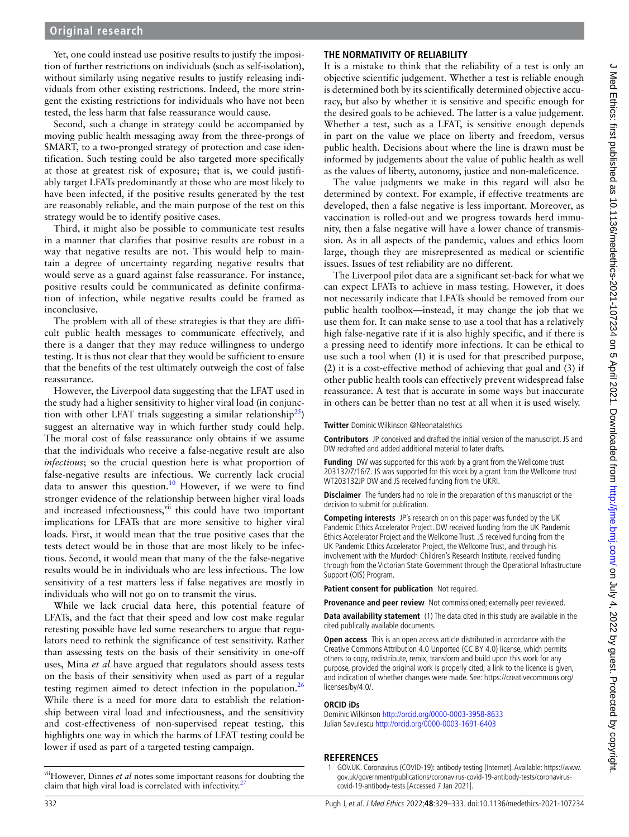## **Original research**

Yet, one could instead use positive results to justify the imposition of further restrictions on individuals (such as self-isolation), without similarly using negative results to justify releasing individuals from other existing restrictions. Indeed, the more stringent the existing restrictions for individuals who have not been tested, the less harm that false reassurance would cause.

Second, such a change in strategy could be accompanied by moving public health messaging away from the three-prongs of SMART, to a two-pronged strategy of protection and case identification. Such testing could be also targeted more specifically at those at greatest risk of exposure; that is, we could justifiably target LFATs predominantly at those who are most likely to have been infected, if the positive results generated by the test are reasonably reliable, and the main purpose of the test on this strategy would be to identify positive cases.

Third, it might also be possible to communicate test results in a manner that clarifies that positive results are robust in a way that negative results are not. This would help to maintain a degree of uncertainty regarding negative results that would serve as a guard against false reassurance. For instance, positive results could be communicated as definite confirmation of infection, while negative results could be framed as inconclusive.

The problem with all of these strategies is that they are difficult public health messages to communicate effectively, and there is a danger that they may reduce willingness to undergo testing. It is thus not clear that they would be sufficient to ensure that the benefits of the test ultimately outweigh the cost of false reassurance.

However, the Liverpool data suggesting that the LFAT used in the study had a higher sensitivity to higher viral load (in conjunction with other LFAT trials suggesting a similar relationship<sup>25</sup>) suggest an alternative way in which further study could help. The moral cost of false reassurance only obtains if we assume that the individuals who receive a false-negative result are also *infectious*; so the crucial question here is what proportion of false-negative results are infectious. We currently lack crucial data to answer this question.<sup>10</sup> However, if we were to find stronger evidence of the relationship between higher viral loads and increased infectiousness,<sup>vii</sup> this could have two important implications for LFATs that are more sensitive to higher viral loads. First, it would mean that the true positive cases that the tests detect would be in those that are most likely to be infectious. Second, it would mean that many of the the false-negative results would be in individuals who are less infectious. The low sensitivity of a test matters less if false negatives are mostly in individuals who will not go on to transmit the virus.

While we lack crucial data here, this potential feature of LFATs, and the fact that their speed and low cost make regular retesting possible have led some researchers to argue that regulators need to rethink the significance of test sensitivity. Rather than assessing tests on the basis of their sensitivity in one-off uses, Mina *et al* have argued that regulators should assess tests on the basis of their sensitivity when used as part of a regular testing regimen aimed to detect infection in the population.<sup>26</sup> While there is a need for more data to establish the relationship between viral load and infectiousness, and the sensitivity and cost-effectiveness of non-supervised repeat testing, this highlights one way in which the harms of LFAT testing could be lower if used as part of a targeted testing campaign.

## **The normativity of reliability**

It is a mistake to think that the reliability of a test is only an objective scientific judgement. Whether a test is reliable enough is determined both by its scientifically determined objective accuracy, but also by whether it is sensitive and specific enough for the desired goals to be achieved. The latter is a value judgement. Whether a test, such as a LFAT, is sensitive enough depends in part on the value we place on liberty and freedom, versus public health. Decisions about where the line is drawn must be informed by judgements about the value of public health as well as the values of liberty, autonomy, justice and non-maleficence.

The value judgments we make in this regard will also be determined by context. For example, if effective treatments are developed, then a false negative is less important. Moreover, as vaccination is rolled-out and we progress towards herd immunity, then a false negative will have a lower chance of transmission. As in all aspects of the pandemic, values and ethics loom large, though they are misrepresented as medical or scientific issues. Issues of test reliability are no different.

The Liverpool pilot data are a significant set-back for what we can expect LFATs to achieve in mass testing. However, it does not necessarily indicate that LFATs should be removed from our public health toolbox—instead, it may change the job that we use them for. It can make sense to use a tool that has a relatively high false-negative rate if it is also highly specific, and if there is a pressing need to identify more infections. It can be ethical to use such a tool when (1) it is used for that prescribed purpose, (2) it is a cost-effective method of achieving that goal and (3) if other public health tools can effectively prevent widespread false reassurance. A test that is accurate in some ways but inaccurate in others can be better than no test at all when it is used wisely.

**Twitter** Dominic Wilkinson @Neonatalethics

**Contributors** JP conceived and drafted the initial version of the manuscript. JS and DW redrafted and added additional material to later drafts.

**Funding** DW was supported for this work by a grant from the Wellcome trust 203132/Z/16/Z. JS was supported for this work by a grant from the Wellcome trust WT203132JP DW and JS received funding from the UKRI.

**Disclaimer** The funders had no role in the preparation of this manuscript or the decision to submit for publication.

**Competing interests** JP's research on on this paper was funded by the UK Pandemic Ethics Accelerator Project. DW received funding from the UK Pandemic Ethics Accelerator Project and the Wellcome Trust. JS received funding from the UK Pandemic Ethics Accelerator Project, the Wellcome Trust, and through his involvement with the Murdoch Children's Research Institute, received funding through from the Victorian State Government through the Operational Infrastructure Support (OIS) Program.

**Patient consent for publication** Not required.

**Provenance and peer review** Not commissioned; externally peer reviewed.

**Data availability statement** (1) The data cited in this study are available in the cited publically available documents.

**Open access** This is an open access article distributed in accordance with the Creative Commons Attribution 4.0 Unported (CC BY 4.0) license, which permits others to copy, redistribute, remix, transform and build upon this work for any purpose, provided the original work is properly cited, a link to the licence is given, and indication of whether changes were made. See: https://creativecommons.org/ licenses/by/4.0/.

#### **ORCID iDs**

Dominic Wilkinson http://orcid.org/0000-0003-3958-8633 Julian Savulescu http://orcid.org/0000-0003-1691-6403

#### **References**

viiHowever, Dinnes et al notes some important reasons for doubting the claim that high viral load is correlated with infectivity.<sup>2</sup>

<sup>1</sup> GOV.UK. Coronavirus (COVID-19): antibody testing [Internet]. Available: https://www. gov.uk/government/publications/coronavirus-covid-19-antibody-tests/coronaviruscovid-19-antibody-tests [Accessed 7 Jan 2021].